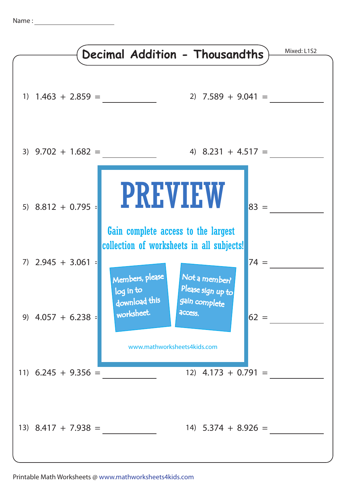